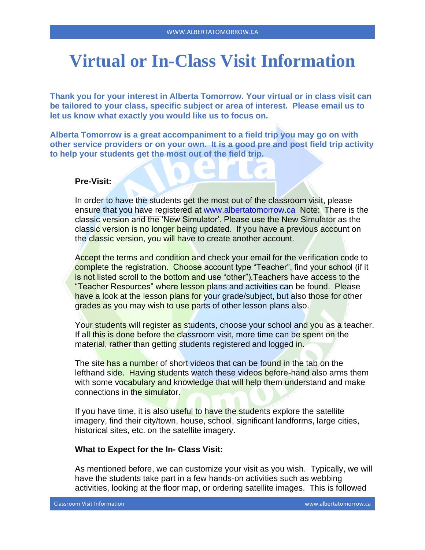# **Virtual or In-Class Visit Information**

**Thank you for your interest in Alberta Tomorrow. Your virtual or in class visit can be tailored to your class, specific subject or area of interest. Please email us to let us know what exactly you would like us to focus on.** 

**Alberta Tomorrow is a great accompaniment to a field trip you may go on with other service providers or on your own. It is a good pre and post field trip activity to help your students get the most out of the field trip.**

## **Pre-Visit:**

In order to have the students get the most out of the classroom visit, please ensure that you have registered at [www.albertatomorrow.ca](http://www.albertatomorrow.ca/) Note: There is the classic version and the 'New Simulator'. Please use the New Simulator as the classic version is no longer being updated. If you have a previous account on the classic version, you will have to create another account.

Accept the terms and condition and check your email for the verification code to complete the registration. Choose account type "Teacher", find your school (if it is not listed scroll to the bottom and use "other").Teachers have access to the "Teacher Resources" where lesson plans and activities can be found. Please have a look at the lesson plans for your grade/subject, but also those for other grades as you may wish to use parts of other lesson plans also.

Your students will register as students, choose your school and you as a teacher. If all this is done before the classroom visit, more time can be spent on the material, rather than getting students registered and logged in.

The site has a number of short videos that can be found in the tab on the lefthand side. Having students watch these videos before-hand also arms them with some vocabulary and knowledge that will help them understand and make connections in the simulator.

If you have time, it is also useful to have the students explore the satellite imagery, find their city/town, house, school, significant landforms, large cities, historical sites, etc. on the satellite imagery.

## **What to Expect for the In- Class Visit:**

As mentioned before, we can customize your visit as you wish. Typically, we will have the students take part in a few hands-on activities such as webbing activities, looking at the floor map, or ordering satellite images. This is followed